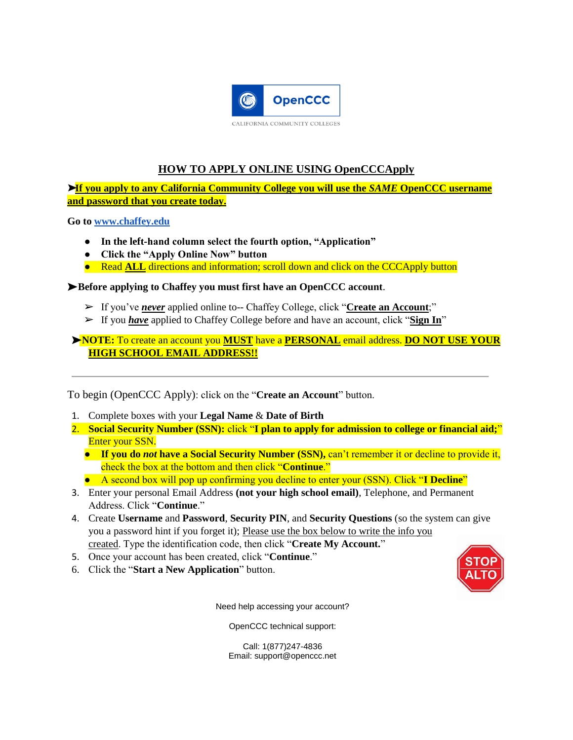

## **HOW TO APPLY ONLINE USING OpenCCCApply**

➤**If you apply to any California Community College you will use the** *SAME* **OpenCCC username and password that you create today.**

**Go t[o www.chaffey.edu](http://www.chaffey.edu/apply)**

- **In the left-hand column select the fourth option, "Application"**
- **Click the "Apply Online Now" button**
- Read **ALL** directions and information; scroll down and click on the CCCApply button

### ➤**Before applying to Chaffey you must first have an OpenCCC account**.

- ➢ If you've *never* applied online to-- Chaffey College, click "**Create an Account**;"
- ➢ If you *have* applied to Chaffey College before and have an account, click "**Sign In**"

## ➤**NOTE:** To create an account you **MUST** have a **PERSONAL** email address. **DO NOT USE YOUR HIGH SCHOOL EMAIL ADDRESS!!**

To begin (OpenCCC Apply): click on the "**Create an Account**" button.

- 1. Complete boxes with your **Legal Name** & **Date of Birth**
- 2. **Social Security Number (SSN):** click "**I plan to apply for admission to college or financial aid;**" Enter your SSN.
	- **If you do** *not* **have a Social Security Number (SSN),** can't remember it or decline to provide it, check the box at the bottom and then click "**Continue**."
	- A second box will pop up confirming you decline to enter your (SSN). Click "**I Decline**"
- 3. Enter your personal Email Address **(not your high school email)**, Telephone, and Permanent Address. Click "**Continue**."
- 4. Create **Username** and **Password**, **Security PIN**, and **Security Questions** (so the system can give you a password hint if you forget it); Please use the box below to write the info you created. Type the identification code, then click "**Create My Account.**"
- 5. Once your account has been created, click "**Continue**."
- 6. Click the "**Start a New Application**" button.



Need help accessing your account?

OpenCCC technical support:

Call: 1(877)247-4836 Email: support@openccc.net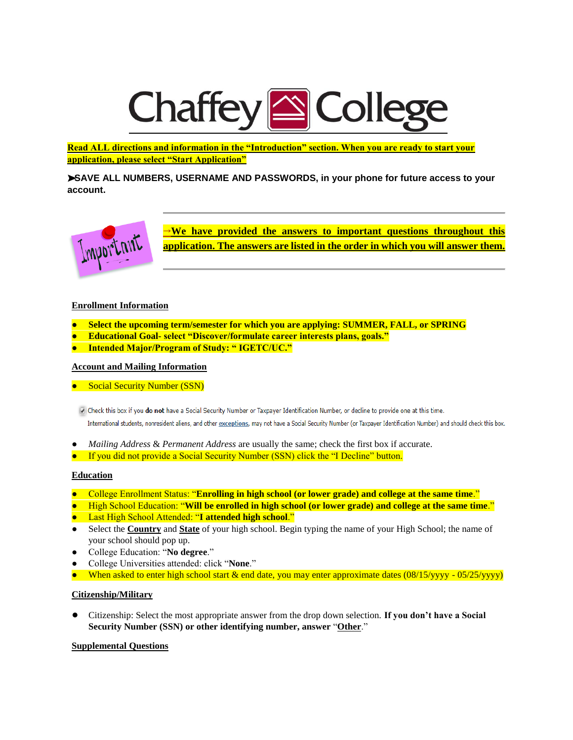# **Chaffey SColleg**

**Read ALL directions and information in the "Introduction" section. When you are ready to start your application, please select "Start Application"**

➤**SAVE ALL NUMBERS, USERNAME AND PASSWORDS, in your phone for future access to your account.** 



**→We have provided the answers to important questions throughout this application. The answers are listed in the order in which you will answer them.**

#### **Enrollment Information**

- **Select the upcoming term/semester for which you are applying: SUMMER, FALL, or SPRING**
- **Educational Goal- select "Discover/formulate career interests plans, goals."**
- **Intended Major/Program of Study: " IGETC/UC."**

#### **Account and Mailing Information**

● Social Security Number (SSN)

O Check this box if you do not have a Social Security Number or Taxpayer Identification Number, or decline to provide one at this time. International students, nonresident aliens, and other exceptions, may not have a Social Security Number (or Taxpayer Identification Number) and should check this box.

- *Mailing Address* & *Permanent Address* are usually the same; check the first box if accurate.
- If you did not provide a Social Security Number (SSN) click the "I Decline" button.

#### **Education**

- College Enrollment Status: "**Enrolling in high school (or lower grade) and college at the same time**."
- High School Education: "**Will be enrolled in high school (or lower grade) and college at the same time**."
- Last High School Attended: "**I attended high school**."
- Select the **Country** and **State** of your high school. Begin typing the name of your High School; the name of your school should pop up.
- College Education: "**No degree**."
- College Universities attended: click "None."
- When asked to enter high school start & end date, you may enter approximate dates (08/15/yyyy 05/25/yyyy)

#### **Citizenship/Military**

● Citizenship: Select the most appropriate answer from the drop down selection. **If you don't have a Social Security Number (SSN) or other identifying number, answer** "**Other**."

#### **Supplemental Questions**